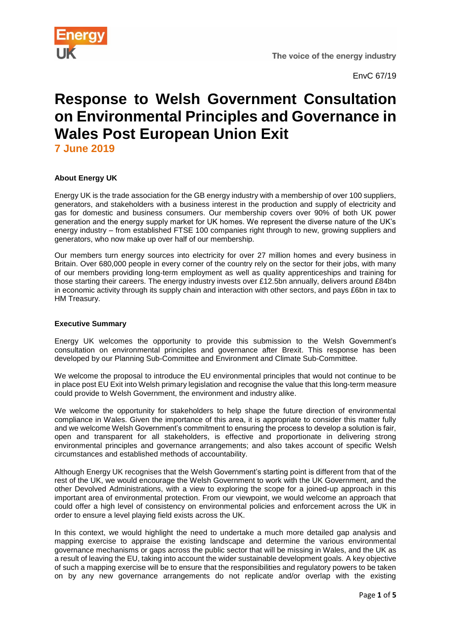

EnvC 67/19

# **Response to Welsh Government Consultation on Environmental Principles and Governance in Wales Post European Union Exit**

**7 June 2019**

# **About Energy UK**

Energy UK is the trade association for the GB energy industry with a membership of over 100 suppliers, generators, and stakeholders with a business interest in the production and supply of electricity and gas for domestic and business consumers. Our membership covers over 90% of both UK power generation and the energy supply market for UK homes. We represent the diverse nature of the UK's energy industry – from established FTSE 100 companies right through to new, growing suppliers and generators, who now make up over half of our membership.

Our members turn energy sources into electricity for over 27 million homes and every business in Britain. Over 680,000 people in every corner of the country rely on the sector for their jobs, with many of our members providing long-term employment as well as quality apprenticeships and training for those starting their careers. The energy industry invests over £12.5bn annually, delivers around £84bn in economic activity through its supply chain and interaction with other sectors, and pays £6bn in tax to HM Treasury.

# **Executive Summary**

Energy UK welcomes the opportunity to provide this submission to the Welsh Government's consultation on environmental principles and governance after Brexit. This response has been developed by our Planning Sub-Committee and Environment and Climate Sub-Committee.

We welcome the proposal to introduce the EU environmental principles that would not continue to be in place post EU Exit into Welsh primary legislation and recognise the value that this long-term measure could provide to Welsh Government, the environment and industry alike.

We welcome the opportunity for stakeholders to help shape the future direction of environmental compliance in Wales. Given the importance of this area, it is appropriate to consider this matter fully and we welcome Welsh Government's commitment to ensuring the process to develop a solution is fair, open and transparent for all stakeholders, is effective and proportionate in delivering strong environmental principles and governance arrangements; and also takes account of specific Welsh circumstances and established methods of accountability.

Although Energy UK recognises that the Welsh Government's starting point is different from that of the rest of the UK, we would encourage the Welsh Government to work with the UK Government, and the other Devolved Administrations, with a view to exploring the scope for a joined-up approach in this important area of environmental protection. From our viewpoint, we would welcome an approach that could offer a high level of consistency on environmental policies and enforcement across the UK in order to ensure a level playing field exists across the UK.

In this context, we would highlight the need to undertake a much more detailed gap analysis and mapping exercise to appraise the existing landscape and determine the various environmental governance mechanisms or gaps across the public sector that will be missing in Wales, and the UK as a result of leaving the EU, taking into account the wider sustainable development goals. A key objective of such a mapping exercise will be to ensure that the responsibilities and regulatory powers to be taken on by any new governance arrangements do not replicate and/or overlap with the existing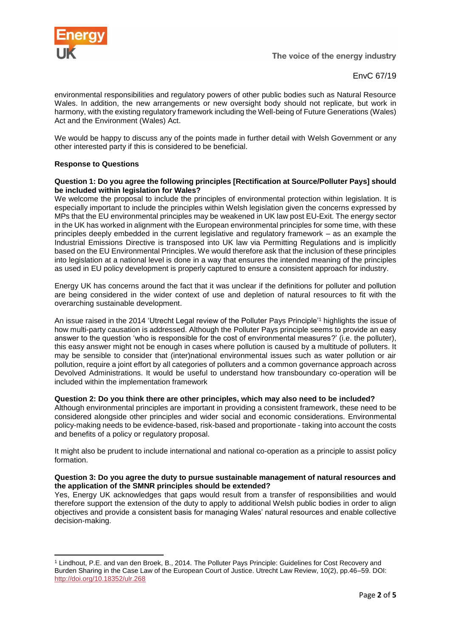

EnvC 67/19

environmental responsibilities and regulatory powers of other public bodies such as Natural Resource Wales. In addition, the new arrangements or new oversight body should not replicate, but work in harmony, with the existing regulatory framework including the Well-being of Future Generations (Wales) Act and the Environment (Wales) Act.

We would be happy to discuss any of the points made in further detail with Welsh Government or any other interested party if this is considered to be beneficial.

# **Response to Questions**

**.** 

#### **Question 1: Do you agree the following principles [Rectification at Source/Polluter Pays] should be included within legislation for Wales?**

We welcome the proposal to include the principles of environmental protection within legislation. It is especially important to include the principles within Welsh legislation given the concerns expressed by MPs that the EU environmental principles may be weakened in UK law post EU-Exit. The energy sector in the UK has worked in alignment with the European environmental principles for some time, with these principles deeply embedded in the current legislative and regulatory framework – as an example the Industrial Emissions Directive is transposed into UK law via Permitting Regulations and is implicitly based on the EU Environmental Principles. We would therefore ask that the inclusion of these principles into legislation at a national level is done in a way that ensures the intended meaning of the principles as used in EU policy development is properly captured to ensure a consistent approach for industry.

Energy UK has concerns around the fact that it was unclear if the definitions for polluter and pollution are being considered in the wider context of use and depletion of natural resources to fit with the overarching sustainable development.

An issue raised in the 2014 'Utrecht Legal review of the Polluter Pays Principle'<sup>1</sup> highlights the issue of how multi-party causation is addressed. Although the Polluter Pays principle seems to provide an easy answer to the question 'who is responsible for the cost of environmental measures?' (i.e. the polluter), this easy answer might not be enough in cases where pollution is caused by a multitude of polluters. It may be sensible to consider that (inter)national environmental issues such as water pollution or air pollution, require a joint effort by all categories of polluters and a common governance approach across Devolved Administrations. It would be useful to understand how transboundary co-operation will be included within the implementation framework

#### **Question 2: Do you think there are other principles, which may also need to be included?**

Although environmental principles are important in providing a consistent framework, these need to be considered alongside other principles and wider social and economic considerations. Environmental policy-making needs to be evidence-based, risk-based and proportionate - taking into account the costs and benefits of a policy or regulatory proposal.

It might also be prudent to include international and national co-operation as a principle to assist policy formation.

#### **Question 3: Do you agree the duty to pursue sustainable management of natural resources and the application of the SMNR principles should be extended?**

Yes, Energy UK acknowledges that gaps would result from a transfer of responsibilities and would therefore support the extension of the duty to apply to additional Welsh public bodies in order to align objectives and provide a consistent basis for managing Wales' natural resources and enable collective decision-making.

<sup>1</sup> Lindhout, P.E. and van den Broek, B., 2014. The Polluter Pays Principle: Guidelines for Cost Recovery and Burden Sharing in the Case Law of the European Court of Justice. Utrecht Law Review, 10(2), pp.46–59. DOI: <http://doi.org/10.18352/ulr.268>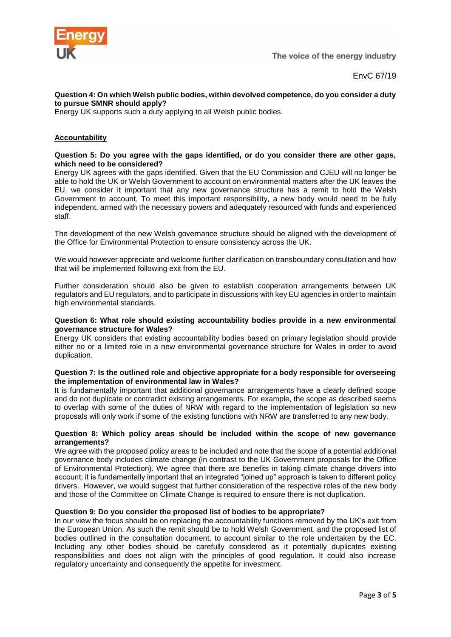

## **Question 4: On which Welsh public bodies, within devolved competence, do you consider a duty to pursue SMNR should apply?**

Energy UK supports such a duty applying to all Welsh public bodies.

# **Accountability**

#### **Question 5: Do you agree with the gaps identified, or do you consider there are other gaps, which need to be considered?**

Energy UK agrees with the gaps identified. Given that the EU Commission and CJEU will no longer be able to hold the UK or Welsh Government to account on environmental matters after the UK leaves the EU, we consider it important that any new governance structure has a remit to hold the Welsh Government to account. To meet this important responsibility, a new body would need to be fully independent, armed with the necessary powers and adequately resourced with funds and experienced staff.

The development of the new Welsh governance structure should be aligned with the development of the Office for Environmental Protection to ensure consistency across the UK.

We would however appreciate and welcome further clarification on transboundary consultation and how that will be implemented following exit from the EU.

Further consideration should also be given to establish cooperation arrangements between UK regulators and EU regulators, and to participate in discussions with key EU agencies in order to maintain high environmental standards.

#### **Question 6: What role should existing accountability bodies provide in a new environmental governance structure for Wales?**

Energy UK considers that existing accountability bodies based on primary legislation should provide either no or a limited role in a new environmental governance structure for Wales in order to avoid duplication.

#### **Question 7: Is the outlined role and objective appropriate for a body responsible for overseeing the implementation of environmental law in Wales?**

It is fundamentally important that additional governance arrangements have a clearly defined scope and do not duplicate or contradict existing arrangements. For example, the scope as described seems to overlap with some of the duties of NRW with regard to the implementation of legislation so new proposals will only work if some of the existing functions with NRW are transferred to any new body.

## **Question 8: Which policy areas should be included within the scope of new governance arrangements?**

We agree with the proposed policy areas to be included and note that the scope of a potential additional governance body includes climate change (in contrast to the UK Government proposals for the Office of Environmental Protection). We agree that there are benefits in taking climate change drivers into account; it is fundamentally important that an integrated "joined up" approach is taken to different policy drivers. However, we would suggest that further consideration of the respective roles of the new body and those of the Committee on Climate Change is required to ensure there is not duplication.

#### **Question 9: Do you consider the proposed list of bodies to be appropriate?**

In our view the focus should be on replacing the accountability functions removed by the UK's exit from the European Union. As such the remit should be to hold Welsh Government, and the proposed list of bodies outlined in the consultation document, to account similar to the role undertaken by the EC. Including any other bodies should be carefully considered as it potentially duplicates existing responsibilities and does not align with the principles of good regulation. It could also increase regulatory uncertainty and consequently the appetite for investment.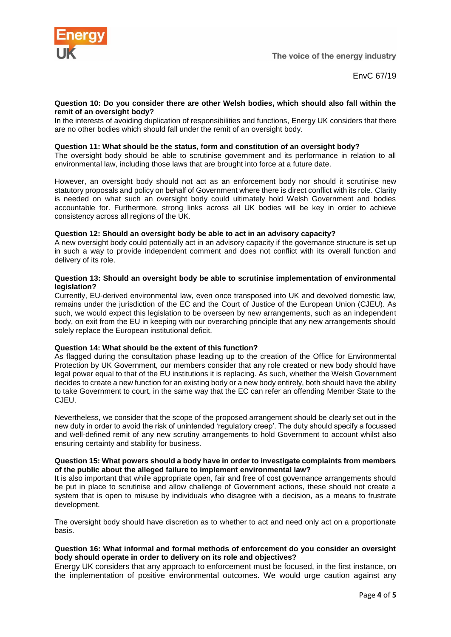

#### **Question 10: Do you consider there are other Welsh bodies, which should also fall within the remit of an oversight body?**

In the interests of avoiding duplication of responsibilities and functions, Energy UK considers that there are no other bodies which should fall under the remit of an oversight body.

## **Question 11: What should be the status, form and constitution of an oversight body?**

The oversight body should be able to scrutinise government and its performance in relation to all environmental law, including those laws that are brought into force at a future date.

However, an oversight body should not act as an enforcement body nor should it scrutinise new statutory proposals and policy on behalf of Government where there is direct conflict with its role. Clarity is needed on what such an oversight body could ultimately hold Welsh Government and bodies accountable for. Furthermore, strong links across all UK bodies will be key in order to achieve consistency across all regions of the UK.

#### **Question 12: Should an oversight body be able to act in an advisory capacity?**

A new oversight body could potentially act in an advisory capacity if the governance structure is set up in such a way to provide independent comment and does not conflict with its overall function and delivery of its role.

#### **Question 13: Should an oversight body be able to scrutinise implementation of environmental legislation?**

Currently, EU-derived environmental law, even once transposed into UK and devolved domestic law, remains under the jurisdiction of the EC and the Court of Justice of the European Union (CJEU). As such, we would expect this legislation to be overseen by new arrangements, such as an independent body, on exit from the EU in keeping with our overarching principle that any new arrangements should solely replace the European institutional deficit.

#### **Question 14: What should be the extent of this function?**

As flagged during the consultation phase leading up to the creation of the Office for Environmental Protection by UK Government, our members consider that any role created or new body should have legal power equal to that of the EU institutions it is replacing. As such, whether the Welsh Government decides to create a new function for an existing body or a new body entirely, both should have the ability to take Government to court, in the same way that the EC can refer an offending Member State to the CJEU.

Nevertheless, we consider that the scope of the proposed arrangement should be clearly set out in the new duty in order to avoid the risk of unintended 'regulatory creep'. The duty should specify a focussed and well-defined remit of any new scrutiny arrangements to hold Government to account whilst also ensuring certainty and stability for business.

#### **Question 15: What powers should a body have in order to investigate complaints from members of the public about the alleged failure to implement environmental law?**

It is also important that while appropriate open, fair and free of cost governance arrangements should be put in place to scrutinise and allow challenge of Government actions, these should not create a system that is open to misuse by individuals who disagree with a decision, as a means to frustrate development.

The oversight body should have discretion as to whether to act and need only act on a proportionate basis.

## **Question 16: What informal and formal methods of enforcement do you consider an oversight body should operate in order to delivery on its role and objectives?**

Energy UK considers that any approach to enforcement must be focused, in the first instance, on the implementation of positive environmental outcomes. We would urge caution against any